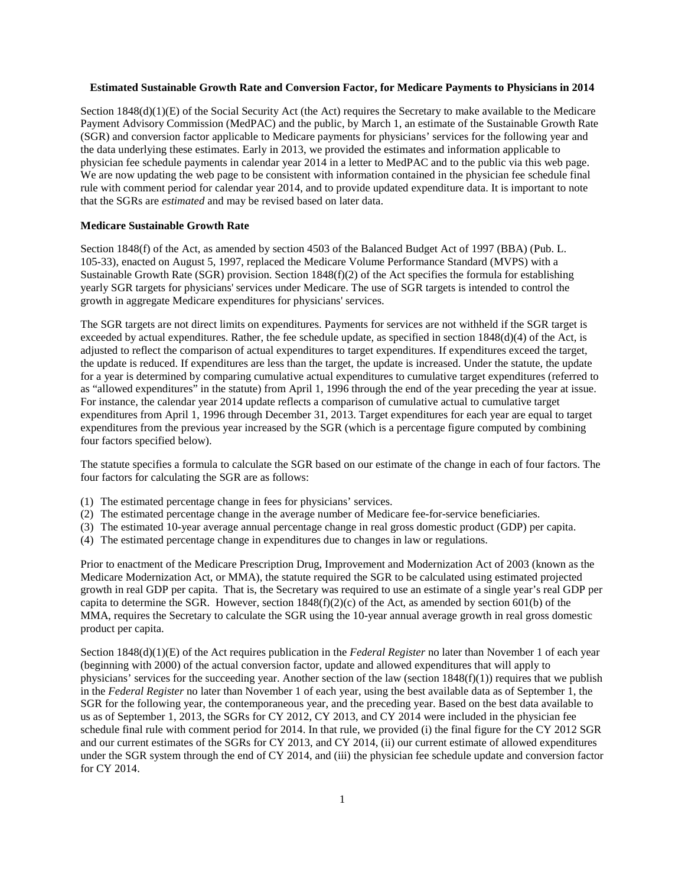## **Estimated Sustainable Growth Rate and Conversion Factor, for Medicare Payments to Physicians in 2014**

Section 1848(d)(1)(E) of the Social Security Act (the Act) requires the Secretary to make available to the Medicare Payment Advisory Commission (MedPAC) and the public, by March 1, an estimate of the Sustainable Growth Rate (SGR) and conversion factor applicable to Medicare payments for physicians' services for the following year and the data underlying these estimates. Early in 2013, we provided the estimates and information applicable to physician fee schedule payments in calendar year 2014 in a letter to MedPAC and to the public via this web page. We are now updating the web page to be consistent with information contained in the physician fee schedule final rule with comment period for calendar year 2014, and to provide updated expenditure data. It is important to note that the SGRs are *estimated* and may be revised based on later data.

# **Medicare Sustainable Growth Rate**

Section 1848(f) of the Act, as amended by section 4503 of the Balanced Budget Act of 1997 (BBA) (Pub. L. 105-33), enacted on August 5, 1997, replaced the Medicare Volume Performance Standard (MVPS) with a Sustainable Growth Rate (SGR) provision. Section 1848(f)(2) of the Act specifies the formula for establishing yearly SGR targets for physicians' services under Medicare. The use of SGR targets is intended to control the growth in aggregate Medicare expenditures for physicians' services.

The SGR targets are not direct limits on expenditures. Payments for services are not withheld if the SGR target is exceeded by actual expenditures. Rather, the fee schedule update, as specified in section 1848(d)(4) of the Act, is adjusted to reflect the comparison of actual expenditures to target expenditures. If expenditures exceed the target, the update is reduced. If expenditures are less than the target, the update is increased. Under the statute, the update for a year is determined by comparing cumulative actual expenditures to cumulative target expenditures (referred to as "allowed expenditures" in the statute) from April 1, 1996 through the end of the year preceding the year at issue. For instance, the calendar year 2014 update reflects a comparison of cumulative actual to cumulative target expenditures from April 1, 1996 through December 31, 2013. Target expenditures for each year are equal to target expenditures from the previous year increased by the SGR (which is a percentage figure computed by combining four factors specified below).

The statute specifies a formula to calculate the SGR based on our estimate of the change in each of four factors. The four factors for calculating the SGR are as follows:

- (1) The estimated percentage change in fees for physicians' services.
- (2) The estimated percentage change in the average number of Medicare fee-for-service beneficiaries.
- (3) The estimated 10-year average annual percentage change in real gross domestic product (GDP) per capita.
- (4) The estimated percentage change in expenditures due to changes in law or regulations.

Prior to enactment of the Medicare Prescription Drug, Improvement and Modernization Act of 2003 (known as the Medicare Modernization Act, or MMA), the statute required the SGR to be calculated using estimated projected growth in real GDP per capita. That is, the Secretary was required to use an estimate of a single year's real GDP per capita to determine the SGR. However, section  $1848(f)(2)(c)$  of the Act, as amended by section 601(b) of the MMA, requires the Secretary to calculate the SGR using the 10-year annual average growth in real gross domestic product per capita.

Section 1848(d)(1)(E) of the Act requires publication in the *Federal Register* no later than November 1 of each year (beginning with 2000) of the actual conversion factor, update and allowed expenditures that will apply to physicians' services for the succeeding year. Another section of the law (section  $1848(f)(1)$ ) requires that we publish in the *Federal Register* no later than November 1 of each year, using the best available data as of September 1, the SGR for the following year, the contemporaneous year, and the preceding year. Based on the best data available to us as of September 1, 2013, the SGRs for CY 2012, CY 2013, and CY 2014 were included in the physician fee schedule final rule with comment period for 2014. In that rule, we provided (i) the final figure for the CY 2012 SGR and our current estimates of the SGRs for CY 2013, and CY 2014, (ii) our current estimate of allowed expenditures under the SGR system through the end of CY 2014, and (iii) the physician fee schedule update and conversion factor for CY 2014.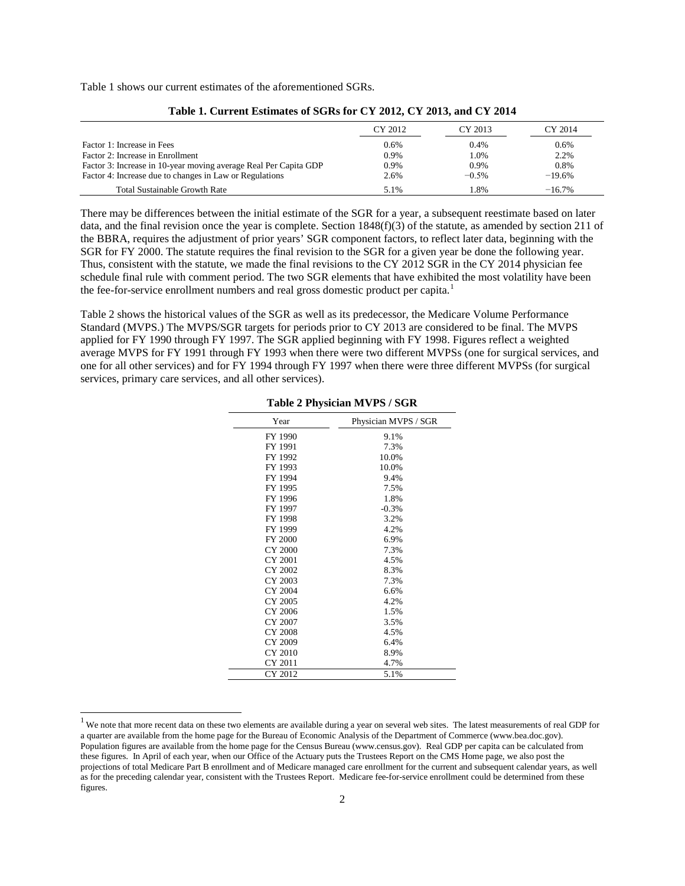Table 1 shows our current estimates of the aforementioned SGRs.

|                                                                  | CY 2012 | CY 2013 | CY 2014  |
|------------------------------------------------------------------|---------|---------|----------|
| Factor 1: Increase in Fees                                       | 0.6%    | 0.4%    | 0.6%     |
| Factor 2: Increase in Enrollment                                 | 0.9%    | 1.0%    | 2.2%     |
| Factor 3: Increase in 10-year moving average Real Per Capita GDP | 0.9%    | $0.9\%$ | 0.8%     |
| Factor 4: Increase due to changes in Law or Regulations          | 2.6%    | $-0.5%$ | $-19.6%$ |
| <b>Total Sustainable Growth Rate</b>                             | 5.1%    | 1.8%    | $-16.7%$ |

**Table 1. Current Estimates of SGRs for CY 2012, CY 2013, and CY 2014**

There may be differences between the initial estimate of the SGR for a year, a subsequent reestimate based on later data, and the final revision once the year is complete. Section  $1848(f)(3)$  of the statute, as amended by section 211 of the BBRA, requires the adjustment of prior years' SGR component factors, to reflect later data, beginning with the SGR for FY 2000. The statute requires the final revision to the SGR for a given year be done the following year. Thus, consistent with the statute, we made the final revisions to the CY 2012 SGR in the CY 2014 physician fee schedule final rule with comment period. The two SGR elements that have exhibited the most volatility have been the fee-for-service enrollment numbers and real gross domestic product per capita.<sup>[1](#page-1-0)</sup>

Table 2 shows the historical values of the SGR as well as its predecessor, the Medicare Volume Performance Standard (MVPS.) The MVPS/SGR targets for periods prior to CY 2013 are considered to be final. The MVPS applied for FY 1990 through FY 1997. The SGR applied beginning with FY 1998. Figures reflect a weighted average MVPS for FY 1991 through FY 1993 when there were two different MVPSs (one for surgical services, and one for all other services) and for FY 1994 through FY 1997 when there were three different MVPSs (for surgical services, primary care services, and all other services).

| Year           | Physician MVPS / SGR |
|----------------|----------------------|
| FY 1990        | 9.1%                 |
| FY 1991        | 7.3%                 |
| FY 1992        | 10.0%                |
| FY 1993        | 10.0%                |
| FY 1994        | 9.4%                 |
| FY 1995        | 7.5%                 |
| FY 1996        | 1.8%                 |
| FY 1997        | $-0.3%$              |
| FY 1998        | 3.2%                 |
| FY 1999        | 4.2%                 |
| <b>FY 2000</b> | 6.9%                 |
| CY 2000        | 7.3%                 |
| CY 2001        | 4.5%                 |
| CY 2002        | 8.3%                 |
| CY 2003        | 7.3%                 |
| CY 2004        | 6.6%                 |
| CY 2005        | 4.2%                 |
| CY 2006        | 1.5%                 |
| CY 2007        | 3.5%                 |
| CY 2008        | 4.5%                 |
| CY 2009        | 6.4%                 |
| CY 2010        | 8.9%                 |
| CY 2011        | 4.7%                 |
| CY 2012        | 5.1%                 |

#### **Table 2 Physician MVPS / SGR**

<span id="page-1-0"></span><sup>&</sup>lt;sup>1</sup> We note that more recent data on these two elements are available during a year on several web sites. The latest measurements of real GDP for a quarter are available from the home page for the Bureau of Economic Analysis of the Department of Commerce (www.bea.doc.gov). Population figures are available from the home page for the Census Bureau (www.census.gov). Real GDP per capita can be calculated from these figures. In April of each year, when our Office of the Actuary puts the Trustees Report on the CMS Home page, we also post the projections of total Medicare Part B enrollment and of Medicare managed care enrollment for the current and subsequent calendar years, as well as for the preceding calendar year, consistent with the Trustees Report. Medicare fee-for-service enrollment could be determined from these figures.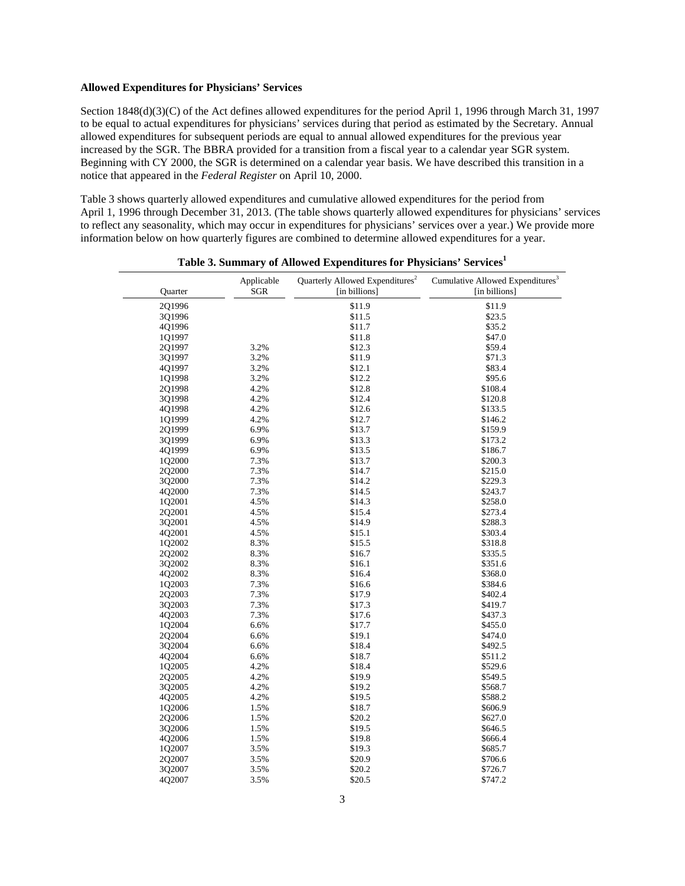## **Allowed Expenditures for Physicians' Services**

Section 1848(d)(3)(C) of the Act defines allowed expenditures for the period April 1, 1996 through March 31, 1997 to be equal to actual expenditures for physicians' services during that period as estimated by the Secretary. Annual allowed expenditures for subsequent periods are equal to annual allowed expenditures for the previous year increased by the SGR. The BBRA provided for a transition from a fiscal year to a calendar year SGR system. Beginning with CY 2000, the SGR is determined on a calendar year basis. We have described this transition in a notice that appeared in the *Federal Register* on April 10, 2000.

Table 3 shows quarterly allowed expenditures and cumulative allowed expenditures for the period from April 1, 1996 through December 31, 2013. (The table shows quarterly allowed expenditures for physicians' services to reflect any seasonality, which may occur in expenditures for physicians' services over a year.) We provide more information below on how quarterly figures are combined to determine allowed expenditures for a year.

| Quarter | Applicable<br><b>SGR</b> | Quarterly Allowed Expenditures <sup>2</sup><br>[in billions] | Cumulative Allowed Expenditures <sup>3</sup><br>[in billions] |
|---------|--------------------------|--------------------------------------------------------------|---------------------------------------------------------------|
| 2Q1996  |                          | \$11.9                                                       | \$11.9                                                        |
| 3Q1996  |                          | \$11.5                                                       | \$23.5                                                        |
| 4Q1996  |                          | \$11.7                                                       | \$35.2                                                        |
| 1Q1997  |                          | \$11.8                                                       | \$47.0                                                        |
| 2Q1997  | 3.2%                     | \$12.3                                                       | \$59.4                                                        |
| 3Q1997  | 3.2%                     | \$11.9                                                       | \$71.3                                                        |
| 4Q1997  | 3.2%                     | \$12.1                                                       | \$83.4                                                        |
| 1Q1998  | 3.2%                     | \$12.2                                                       | \$95.6                                                        |
| 2Q1998  | 4.2%                     | \$12.8                                                       | \$108.4                                                       |
| 3Q1998  | 4.2%                     | \$12.4                                                       | \$120.8                                                       |
| 4Q1998  | 4.2%                     | \$12.6                                                       | \$133.5                                                       |
| 1Q1999  | 4.2%                     | \$12.7                                                       | \$146.2                                                       |
| 201999  | 6.9%                     | \$13.7                                                       | \$159.9                                                       |
| 3Q1999  | 6.9%                     | \$13.3                                                       | \$173.2                                                       |
| 4Q1999  | 6.9%                     | \$13.5                                                       | \$186.7                                                       |
| 1Q2000  | 7.3%                     | \$13.7                                                       | \$200.3                                                       |
| 2Q2000  | 7.3%                     | \$14.7                                                       | \$215.0                                                       |
| 3Q2000  | 7.3%                     | \$14.2                                                       | \$229.3                                                       |
| 4Q2000  | 7.3%                     | \$14.5                                                       | \$243.7                                                       |
| 1Q2001  | 4.5%                     | \$14.3                                                       | \$258.0                                                       |
| 2Q2001  | 4.5%                     | \$15.4                                                       | \$273.4                                                       |
| 3Q2001  | 4.5%                     | \$14.9                                                       | \$288.3                                                       |
| 4Q2001  | 4.5%                     | \$15.1                                                       | \$303.4                                                       |
| 1Q2002  | 8.3%                     | \$15.5                                                       | \$318.8                                                       |
| 2Q2002  | 8.3%                     | \$16.7                                                       | \$335.5                                                       |
| 3Q2002  | 8.3%                     | \$16.1                                                       | \$351.6                                                       |
| 4Q2002  | 8.3%                     | \$16.4                                                       | \$368.0                                                       |
| 1Q2003  | 7.3%                     | \$16.6                                                       | \$384.6                                                       |
| 2Q2003  | 7.3%                     | \$17.9                                                       | \$402.4                                                       |
| 3Q2003  | 7.3%                     | \$17.3                                                       | \$419.7                                                       |
| 4Q2003  | 7.3%                     | \$17.6                                                       | \$437.3                                                       |
| 1Q2004  | 6.6%                     | \$17.7                                                       | \$455.0                                                       |
| 2Q2004  | 6.6%                     | \$19.1                                                       | \$474.0                                                       |
| 3Q2004  | 6.6%                     | \$18.4                                                       | \$492.5                                                       |
| 4Q2004  | 6.6%                     | \$18.7                                                       | \$511.2                                                       |
| 1Q2005  | 4.2%                     | \$18.4                                                       | \$529.6                                                       |
| 2Q2005  | 4.2%                     | \$19.9                                                       | \$549.5                                                       |
| 3Q2005  | 4.2%                     | \$19.2                                                       | \$568.7                                                       |
| 4Q2005  | 4.2%                     | \$19.5                                                       | \$588.2                                                       |
| 1Q2006  | 1.5%                     | \$18.7                                                       | \$606.9                                                       |
| 2Q2006  | 1.5%                     | \$20.2                                                       | \$627.0                                                       |
| 3Q2006  | 1.5%                     | \$19.5                                                       | \$646.5                                                       |
| 4Q2006  | 1.5%                     | \$19.8                                                       | \$666.4                                                       |
| 1Q2007  | 3.5%                     | \$19.3                                                       | \$685.7                                                       |
| 2Q2007  | 3.5%                     | \$20.9                                                       | \$706.6                                                       |
| 3Q2007  | 3.5%                     | \$20.2                                                       | \$726.7                                                       |
| 4Q2007  | 3.5%                     | \$20.5                                                       | \$747.2                                                       |
|         |                          |                                                              |                                                               |

**Table 3. Summary of Allowed Expenditures for Physicians' Service[s1](#page-3-0)**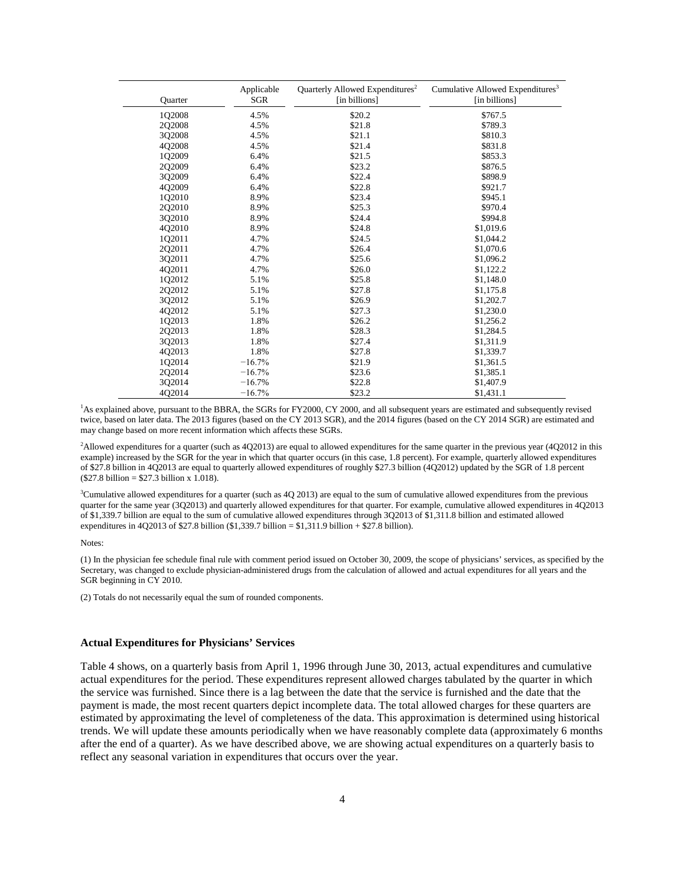| Quarter | Applicable<br><b>SGR</b> | Quarterly Allowed Expenditures <sup>2</sup><br>[in billions] | Cumulative Allowed Expenditures <sup>3</sup><br>[in billions] |
|---------|--------------------------|--------------------------------------------------------------|---------------------------------------------------------------|
| 1Q2008  | 4.5%                     | \$20.2                                                       | \$767.5                                                       |
| 2Q2008  | 4.5%                     | \$21.8                                                       | \$789.3                                                       |
| 3Q2008  | 4.5%                     | \$21.1                                                       | \$810.3                                                       |
| 402008  | 4.5%                     | \$21.4                                                       | \$831.8                                                       |
| 102009  | 6.4%                     | \$21.5                                                       | \$853.3                                                       |
| 2Q2009  | 6.4%                     | \$23.2                                                       | \$876.5                                                       |
| 3Q2009  | 6.4%                     | \$22.4                                                       | \$898.9                                                       |
| 4Q2009  | 6.4%                     | \$22.8                                                       | \$921.7                                                       |
| 102010  | 8.9%                     | \$23.4                                                       | \$945.1                                                       |
| 2Q2010  | 8.9%                     | \$25.3                                                       | \$970.4                                                       |
| 302010  | 8.9%                     | \$24.4                                                       | \$994.8                                                       |
| 4Q2010  | 8.9%                     | \$24.8                                                       | \$1,019.6                                                     |
| 102011  | 4.7%                     | \$24.5                                                       | \$1,044.2                                                     |
| 202011  | 4.7%                     | \$26.4                                                       | \$1,070.6                                                     |
| 3Q2011  | 4.7%                     | \$25.6                                                       | \$1,096.2                                                     |
| 4Q2011  | 4.7%                     | \$26.0                                                       | \$1,122.2                                                     |
| 1Q2012  | 5.1%                     | \$25.8                                                       | \$1,148.0                                                     |
| 2Q2012  | 5.1%                     | \$27.8                                                       | \$1,175.8                                                     |
| 3Q2012  | 5.1%                     | \$26.9                                                       | \$1,202.7                                                     |
| 402012  | 5.1%                     | \$27.3                                                       | \$1,230.0                                                     |
| 1Q2013  | 1.8%                     | \$26.2                                                       | \$1,256.2                                                     |
| 2Q2013  | 1.8%                     | \$28.3                                                       | \$1,284.5                                                     |
| 302013  | 1.8%                     | \$27.4                                                       | \$1,311.9                                                     |
| 4Q2013  | 1.8%                     | \$27.8                                                       | \$1,339.7                                                     |
| 1Q2014  | $-16.7%$                 | \$21.9                                                       | \$1,361.5                                                     |
| 2Q2014  | $-16.7%$                 | \$23.6                                                       | \$1,385.1                                                     |
| 3Q2014  | $-16.7%$                 | \$22.8                                                       | \$1,407.9                                                     |
| 4Q2014  | $-16.7%$                 | \$23.2                                                       | \$1,431.1                                                     |

<span id="page-3-0"></span><sup>1</sup>As explained above, pursuant to the BBRA, the SGRs for FY2000, CY 2000, and all subsequent years are estimated and subsequently revised twice, based on later data. The 2013 figures (based on the CY 2013 SGR), and the 2014 figures (based on the CY 2014 SGR) are estimated and may change based on more recent information which affects these SGRs.

<span id="page-3-1"></span><sup>2</sup>Allowed expenditures for a quarter (such as 4Q2013) are equal to allowed expenditures for the same quarter in the previous year (4Q2012 in this example) increased by the SGR for the year in which that quarter occurs (in this case, 1.8 percent). For example, quarterly allowed expenditures of \$27.8 billion in 4Q2013 are equal to quarterly allowed expenditures of roughly \$27.3 billion (4Q2012) updated by the SGR of 1.8 percent (\$27.8 billion = \$27.3 billion x 1.018).

<span id="page-3-2"></span><sup>3</sup>Cumulative allowed expenditures for a quarter (such as 4Q 2013) are equal to the sum of cumulative allowed expenditures from the previous quarter for the same year (3Q2013) and quarterly allowed expenditures for that quarter. For example, cumulative allowed expenditures in 4Q2013 of \$1,339.7 billion are equal to the sum of cumulative allowed expenditures through 3Q2013 of \$1,311.8 billion and estimated allowed expenditures in 4Q2013 of \$27.8 billion (\$1,339.7 billion =  $$1,311.9$  billion + \$27.8 billion).

#### Notes:

(1) In the physician fee schedule final rule with comment period issued on October 30, 2009, the scope of physicians' services, as specified by the Secretary, was changed to exclude physician-administered drugs from the calculation of allowed and actual expenditures for all years and the SGR beginning in CY 2010.

(2) Totals do not necessarily equal the sum of rounded components.

### **Actual Expenditures for Physicians' Services**

Table 4 shows, on a quarterly basis from April 1, 1996 through June 30, 2013, actual expenditures and cumulative actual expenditures for the period. These expenditures represent allowed charges tabulated by the quarter in which the service was furnished. Since there is a lag between the date that the service is furnished and the date that the payment is made, the most recent quarters depict incomplete data. The total allowed charges for these quarters are estimated by approximating the level of completeness of the data. This approximation is determined using historical trends. We will update these amounts periodically when we have reasonably complete data (approximately 6 months after the end of a quarter). As we have described above, we are showing actual expenditures on a quarterly basis to reflect any seasonal variation in expenditures that occurs over the year.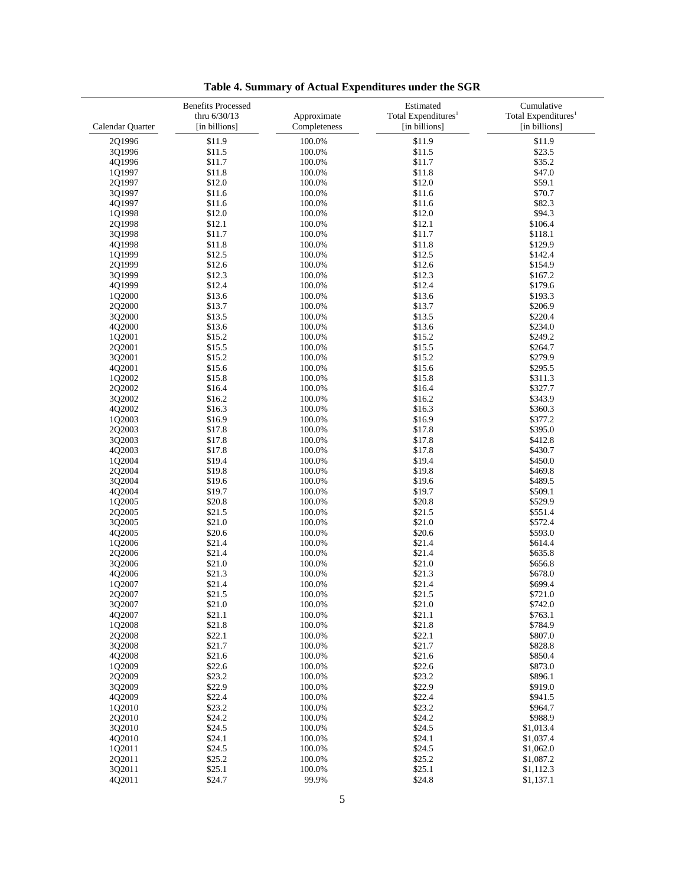|                  | <b>Benefits Processed</b><br>thru 6/30/13 | Approximate  | Estimated<br>Total Expenditures <sup>1</sup> | Cumulative<br>Total Expenditures <sup>1</sup> |
|------------------|-------------------------------------------|--------------|----------------------------------------------|-----------------------------------------------|
| Calendar Quarter | [in billions]                             | Completeness | [in billions]                                | [in billions]                                 |
| 2Q1996           | \$11.9                                    | 100.0%       | \$11.9                                       | \$11.9                                        |
| 3Q1996           | \$11.5                                    | 100.0%       | \$11.5                                       | \$23.5                                        |
| 4Q1996           | \$11.7                                    | 100.0%       | \$11.7                                       | \$35.2                                        |
| 101997           | \$11.8                                    | 100.0%       | \$11.8                                       | \$47.0                                        |
| 2Q1997           | \$12.0                                    | 100.0%       | \$12.0                                       | \$59.1                                        |
| 3Q1997           | \$11.6                                    | 100.0%       | \$11.6                                       | \$70.7                                        |
| 4Q1997           | \$11.6                                    | 100.0%       | \$11.6                                       | \$82.3                                        |
| 1Q1998           | \$12.0                                    | 100.0%       | \$12.0                                       | \$94.3                                        |
| 2Q1998           | \$12.1                                    | 100.0%       | \$12.1                                       | \$106.4                                       |
| 3Q1998           | \$11.7                                    | 100.0%       | \$11.7                                       | \$118.1                                       |
| 4Q1998           | \$11.8                                    | 100.0%       | \$11.8                                       | \$129.9                                       |
| 1Q1999           | \$12.5                                    | 100.0%       | \$12.5                                       | \$142.4                                       |
| 2Q1999           | \$12.6                                    | 100.0%       | \$12.6                                       | \$154.9                                       |
| 3Q1999           | \$12.3                                    | 100.0%       | \$12.3                                       | \$167.2                                       |
| 4Q1999           | \$12.4                                    | 100.0%       | \$12.4                                       | \$179.6                                       |
| 1Q2000           | \$13.6                                    | 100.0%       | \$13.6                                       | \$193.3                                       |
| 2Q2000           | \$13.7                                    | 100.0%       | \$13.7                                       | \$206.9                                       |
| 3Q2000           | \$13.5                                    | 100.0%       | \$13.5                                       | \$220.4                                       |
| 4Q2000           | \$13.6                                    | 100.0%       | \$13.6                                       | \$234.0                                       |
| 1Q2001           | \$15.2                                    | 100.0%       | \$15.2                                       | \$249.2                                       |
| 2Q2001           | \$15.5                                    | 100.0%       | \$15.5                                       | \$264.7                                       |
| 3Q2001           | \$15.2                                    | 100.0%       | \$15.2                                       | \$279.9                                       |
| 4Q2001           | \$15.6                                    | 100.0%       | \$15.6                                       | \$295.5                                       |
| 1Q2002           | \$15.8                                    | 100.0%       | \$15.8                                       | \$311.3                                       |
| 2Q2002           | \$16.4                                    | 100.0%       | \$16.4                                       | \$327.7                                       |
| 3Q2002           | \$16.2                                    | 100.0%       | \$16.2                                       | \$343.9                                       |
| 4Q2002           | \$16.3                                    | 100.0%       | \$16.3                                       | \$360.3                                       |
| 1Q2003           | \$16.9                                    | 100.0%       | \$16.9                                       | \$377.2                                       |
| 2Q2003           | \$17.8                                    | 100.0%       | \$17.8                                       | \$395.0                                       |
| 3Q2003           | \$17.8                                    | 100.0%       | \$17.8                                       | \$412.8                                       |
| 4Q2003           | \$17.8                                    | 100.0%       | \$17.8                                       | \$430.7                                       |
| 1Q2004           | \$19.4                                    | 100.0%       | \$19.4                                       | \$450.0                                       |
| 2Q2004           | \$19.8                                    | 100.0%       | \$19.8                                       | \$469.8                                       |
| 3Q2004           | \$19.6                                    | 100.0%       | \$19.6                                       | \$489.5                                       |
| 4Q2004           | \$19.7                                    | 100.0%       | \$19.7                                       | \$509.1                                       |
| 1Q2005           | \$20.8                                    | 100.0%       | \$20.8                                       | \$529.9                                       |
| 2Q2005           | \$21.5                                    | 100.0%       | \$21.5                                       | \$551.4                                       |
| 3Q2005           | \$21.0                                    | 100.0%       | \$21.0                                       | \$572.4                                       |
| 4Q2005           | \$20.6                                    | 100.0%       | \$20.6                                       | \$593.0                                       |
| 1Q2006           | \$21.4                                    | 100.0%       | \$21.4                                       | \$614.4                                       |
| 2Q2006           | \$21.4                                    | 100.0%       | \$21.4                                       | \$635.8                                       |
| 3Q2006           | \$21.0                                    | 100.0%       | \$21.0                                       | \$656.8                                       |
| 4Q2006           | \$21.3                                    | 100.0%       | \$21.3                                       | \$678.0                                       |
| 1Q2007           | \$21.4                                    | 100.0%       | \$21.4                                       | \$699.4                                       |
| 2Q2007           | \$21.5                                    | 100.0%       | \$21.5                                       | \$721.0                                       |
| 3Q2007           | \$21.0                                    | 100.0%       | \$21.0                                       | \$742.0                                       |
| 4Q2007           | \$21.1                                    | 100.0%       | \$21.1                                       | \$763.1                                       |
| 1Q2008           | \$21.8                                    | 100.0%       | \$21.8                                       | \$784.9                                       |
| 2Q2008           | \$22.1                                    | 100.0%       | \$22.1                                       | \$807.0                                       |
| 3Q2008           | \$21.7                                    | 100.0%       | \$21.7                                       | \$828.8                                       |
| 4Q2008           | \$21.6                                    | 100.0%       | \$21.6                                       | \$850.4                                       |
| 1Q2009           | \$22.6                                    | 100.0%       | \$22.6                                       | \$873.0                                       |
| 2Q2009           | \$23.2                                    | 100.0%       | \$23.2                                       | \$896.1                                       |
| 3Q2009           | \$22.9                                    | 100.0%       | \$22.9                                       | \$919.0                                       |
| 4Q2009           | \$22.4                                    | 100.0%       | \$22.4                                       | \$941.5                                       |
| 1Q2010           | \$23.2                                    | 100.0%       | \$23.2                                       | \$964.7                                       |
| 2Q2010           | \$24.2                                    | 100.0%       | \$24.2                                       | \$988.9                                       |
| 3Q2010           | \$24.5                                    | 100.0%       | \$24.5                                       | \$1,013.4                                     |
| 4Q2010           | \$24.1                                    | 100.0%       | \$24.1                                       | \$1,037.4                                     |
| 1Q2011           | \$24.5                                    | 100.0%       | \$24.5                                       | \$1,062.0                                     |
| 2Q2011           | \$25.2                                    | 100.0%       | \$25.2                                       | \$1,087.2                                     |
| 3Q2011           | \$25.1                                    | 100.0%       | \$25.1                                       | \$1,112.3                                     |
| 4Q2011           | \$24.7                                    | 99.9%        | \$24.8                                       | \$1,137.1                                     |

**Table 4. Summary of Actual Expenditures under the SGR**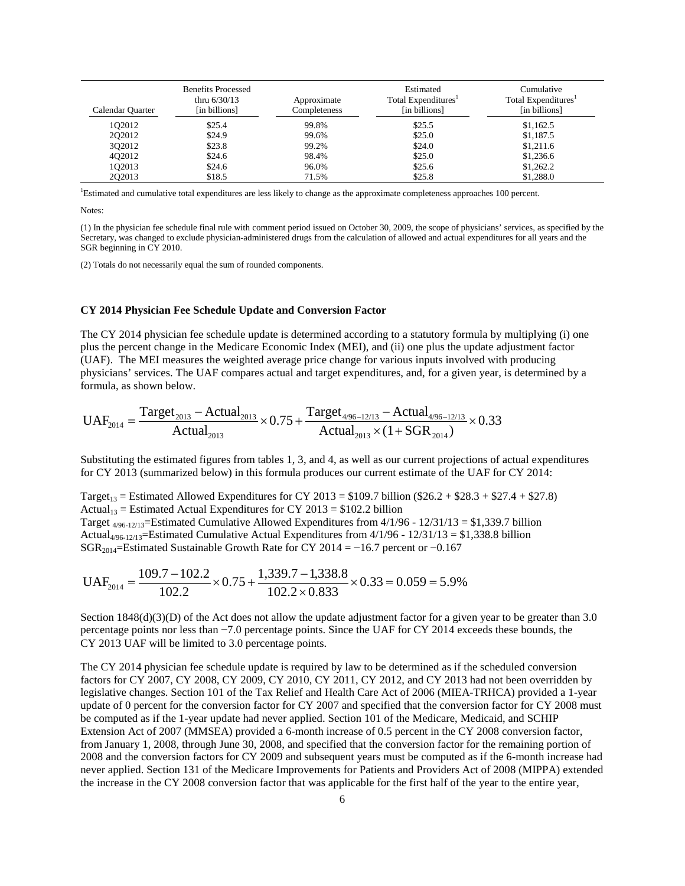| Calendar Quarter | <b>Benefits Processed</b><br>thru $6/30/13$<br>[in billions] | Approximate<br>Completeness | Estimated<br>Total Expenditures <sup>1</sup><br>[in billions] | Cumulative<br>Total Expenditures <sup>1</sup><br>[in billions] |
|------------------|--------------------------------------------------------------|-----------------------------|---------------------------------------------------------------|----------------------------------------------------------------|
| 102012           | \$25.4                                                       | 99.8%                       | \$25.5                                                        | \$1,162.5                                                      |
| 202012           | \$24.9                                                       | 99.6%                       | \$25.0                                                        | \$1,187.5                                                      |
| 302012           | \$23.8                                                       | 99.2%                       | \$24.0                                                        | \$1,211.6                                                      |
| 402012           | \$24.6                                                       | 98.4%                       | \$25.0                                                        | \$1,236.6                                                      |
| 102013           | \$24.6                                                       | 96.0%                       | \$25.6                                                        | \$1,262.2                                                      |
| 202013           | \$18.5                                                       | 71.5%                       | \$25.8                                                        | \$1,288.0                                                      |

<span id="page-5-0"></span>1 Estimated and cumulative total expenditures are less likely to change as the approximate completeness approaches 100 percent.

Notes:

(1) In the physician fee schedule final rule with comment period issued on October 30, 2009, the scope of physicians' services, as specified by the Secretary, was changed to exclude physician-administered drugs from the calculation of allowed and actual expenditures for all years and the SGR beginning in CY 2010.

(2) Totals do not necessarily equal the sum of rounded components.

### **CY 2014 Physician Fee Schedule Update and Conversion Factor**

The CY 2014 physician fee schedule update is determined according to a statutory formula by multiplying (i) one plus the percent change in the Medicare Economic Index (MEI), and (ii) one plus the update adjustment factor (UAF). The MEI measures the weighted average price change for various inputs involved with producing physicians' services. The UAF compares actual and target expenditures, and, for a given year, is determined by a formula, as shown below.

$$
UAF_{2014} = \frac{Target_{2013} - Actual_{2013}}{Actual_{2013}} \times 0.75 + \frac{Target_{4/96-12/13} -Actual_{4/96-12/13}}{Actual_{2013} \times (1 + SGR_{2014})} \times 0.33
$$

Substituting the estimated figures from tables 1, 3, and 4, as well as our current projections of actual expenditures for CY 2013 (summarized below) in this formula produces our current estimate of the UAF for CY 2014:

Target<sub>13</sub> = Estimated Allowed Expenditures for CY 2013 = \$109.7 billion (\$26.2 + \$28.3 + \$27.4 + \$27.8) Actual<sub>13</sub> = Estimated Actual Expenditures for CY 2013 = \$102.2 billion Target  $4/96-12/13$ =Estimated Cumulative Allowed Expenditures from  $4/1/96$  -  $12/31/13 = $1,339.7$  billion Actual4/96-12/13=Estimated Cumulative Actual Expenditures from 4/1/96 - 12/31/13 = \$1,338.8 billion SGR<sub>2014</sub>=Estimated Sustainable Growth Rate for CY 2014 = −16.7 percent or −0.167

$$
UAF_{2014} = \frac{109.7 - 102.2}{102.2} \times 0.75 + \frac{1,339.7 - 1,338.8}{102.2 \times 0.833} \times 0.33 = 0.059 = 5.9\%
$$

Section  $1848(d)(3)(D)$  of the Act does not allow the update adjustment factor for a given year to be greater than 3.0 percentage points nor less than −7.0 percentage points. Since the UAF for CY 2014 exceeds these bounds, the CY 2013 UAF will be limited to 3.0 percentage points.

The CY 2014 physician fee schedule update is required by law to be determined as if the scheduled conversion factors for CY 2007, CY 2008, CY 2009, CY 2010, CY 2011, CY 2012, and CY 2013 had not been overridden by legislative changes. Section 101 of the Tax Relief and Health Care Act of 2006 (MIEA-TRHCA) provided a 1-year update of 0 percent for the conversion factor for CY 2007 and specified that the conversion factor for CY 2008 must be computed as if the 1-year update had never applied. Section 101 of the Medicare, Medicaid, and SCHIP Extension Act of 2007 (MMSEA) provided a 6-month increase of 0.5 percent in the CY 2008 conversion factor, from January 1, 2008, through June 30, 2008, and specified that the conversion factor for the remaining portion of 2008 and the conversion factors for CY 2009 and subsequent years must be computed as if the 6-month increase had never applied. Section 131 of the Medicare Improvements for Patients and Providers Act of 2008 (MIPPA) extended the increase in the CY 2008 conversion factor that was applicable for the first half of the year to the entire year,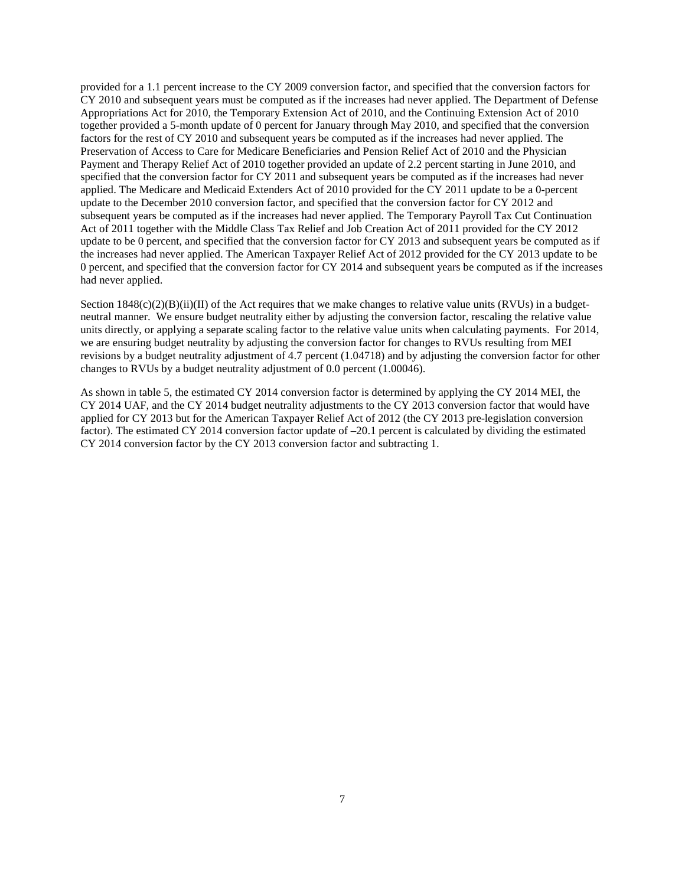provided for a 1.1 percent increase to the CY 2009 conversion factor, and specified that the conversion factors for CY 2010 and subsequent years must be computed as if the increases had never applied. The Department of Defense Appropriations Act for 2010, the Temporary Extension Act of 2010, and the Continuing Extension Act of 2010 together provided a 5-month update of 0 percent for January through May 2010, and specified that the conversion factors for the rest of CY 2010 and subsequent years be computed as if the increases had never applied. The Preservation of Access to Care for Medicare Beneficiaries and Pension Relief Act of 2010 and the Physician Payment and Therapy Relief Act of 2010 together provided an update of 2.2 percent starting in June 2010, and specified that the conversion factor for CY 2011 and subsequent years be computed as if the increases had never applied. The Medicare and Medicaid Extenders Act of 2010 provided for the CY 2011 update to be a 0-percent update to the December 2010 conversion factor, and specified that the conversion factor for CY 2012 and subsequent years be computed as if the increases had never applied. The Temporary Payroll Tax Cut Continuation Act of 2011 together with the Middle Class Tax Relief and Job Creation Act of 2011 provided for the CY 2012 update to be 0 percent, and specified that the conversion factor for CY 2013 and subsequent years be computed as if the increases had never applied. The American Taxpayer Relief Act of 2012 provided for the CY 2013 update to be 0 percent, and specified that the conversion factor for CY 2014 and subsequent years be computed as if the increases had never applied.

Section  $1848(c)(2)(B)(ii)(II)$  of the Act requires that we make changes to relative value units (RVUs) in a budgetneutral manner. We ensure budget neutrality either by adjusting the conversion factor, rescaling the relative value units directly, or applying a separate scaling factor to the relative value units when calculating payments. For 2014, we are ensuring budget neutrality by adjusting the conversion factor for changes to RVUs resulting from MEI revisions by a budget neutrality adjustment of 4.7 percent (1.04718) and by adjusting the conversion factor for other changes to RVUs by a budget neutrality adjustment of 0.0 percent (1.00046).

As shown in table 5, the estimated CY 2014 conversion factor is determined by applying the CY 2014 MEI, the CY 2014 UAF, and the CY 2014 budget neutrality adjustments to the CY 2013 conversion factor that would have applied for CY 2013 but for the American Taxpayer Relief Act of 2012 (the CY 2013 pre-legislation conversion factor). The estimated CY 2014 conversion factor update of –20.1 percent is calculated by dividing the estimated CY 2014 conversion factor by the CY 2013 conversion factor and subtracting 1.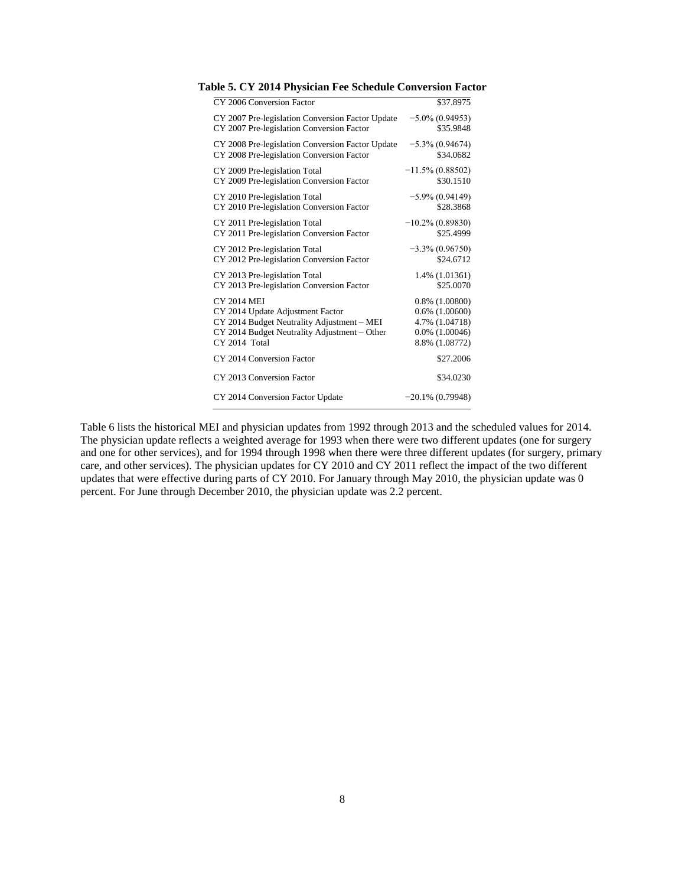| CY 2006 Conversion Factor                        | \$37.8975           |
|--------------------------------------------------|---------------------|
| CY 2007 Pre-legislation Conversion Factor Update | $-5.0\%$ (0.94953)  |
| CY 2007 Pre-legislation Conversion Factor        | \$35.9848           |
| CY 2008 Pre-legislation Conversion Factor Update | $-5.3\%$ (0.94674)  |
| CY 2008 Pre-legislation Conversion Factor        | \$34.0682           |
| CY 2009 Pre-legislation Total                    | $-11.5\%$ (0.88502) |
| CY 2009 Pre-legislation Conversion Factor        | \$30.1510           |
| CY 2010 Pre-legislation Total                    | $-5.9\%$ (0.94149)  |
| CY 2010 Pre-legislation Conversion Factor        | \$28,3868           |
| CY 2011 Pre-legislation Total                    | $-10.2\%$ (0.89830) |
| CY 2011 Pre-legislation Conversion Factor        | \$25.4999           |
| CY 2012 Pre-legislation Total                    | $-3.3\%$ (0.96750)  |
| CY 2012 Pre-legislation Conversion Factor        | \$24.6712           |
| CY 2013 Pre-legislation Total                    | 1.4% (1.01361)      |
| CY 2013 Pre-legislation Conversion Factor        | \$25,0070           |
| <b>CY 2014 MEI</b>                               | $0.8\%$ $(1.00800)$ |
| CY 2014 Update Adjustment Factor                 | $0.6\%$ $(1.00600)$ |
| CY 2014 Budget Neutrality Adjustment - MEI       | 4.7% (1.04718)      |
| CY 2014 Budget Neutrality Adjustment - Other     | 0.0% (1.00046)      |
| CY 2014 Total                                    | 8.8% (1.08772)      |
| CY 2014 Conversion Factor                        | \$27.2006           |
| CY 2013 Conversion Factor                        | \$34.0230           |
| CY 2014 Conversion Factor Update                 | $-20.1\%$ (0.79948) |

**Table 5. CY 2014 Physician Fee Schedule Conversion Factor**

Table 6 lists the historical MEI and physician updates from 1992 through 2013 and the scheduled values for 2014. The physician update reflects a weighted average for 1993 when there were two different updates (one for surgery and one for other services), and for 1994 through 1998 when there were three different updates (for surgery, primary care, and other services). The physician updates for CY 2010 and CY 2011 reflect the impact of the two different updates that were effective during parts of CY 2010. For January through May 2010, the physician update was 0 percent. For June through December 2010, the physician update was 2.2 percent.